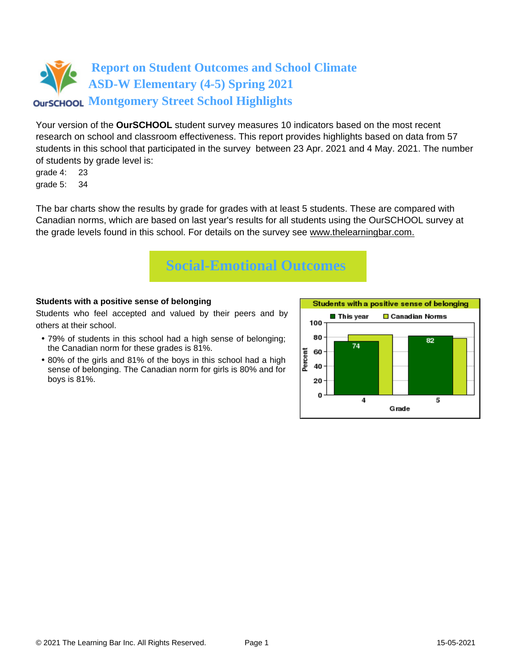Your version of the **OurSCHOOL** student survey measures 10 indicators based on the most recent research on school and classroom effectiveness. This report provides highlights based on data from 57 students in this school that participated in the survey between 23 Apr. 2021 and 4 May. 2021. The number of students by grade level is:

grade 4: 23 grade 5: 34

The bar charts show the results by grade for grades with at least 5 students. These are compared with Canadian norms, which are based on last year's results for all students using the OurSCHOOL survey at the grade levels found in this school. For details on the survey see [www.thelearningbar.com.](www.thelearningbar.com)



### **Students with a positive sense of belonging**

Students who feel accepted and valued by their peers and by others at their school.

- 79% of students in this school had a high sense of belonging; the Canadian norm for these grades is 81%.
- 80% of the girls and 81% of the boys in this school had a high sense of belonging. The Canadian norm for girls is 80% and for boys is 81%.

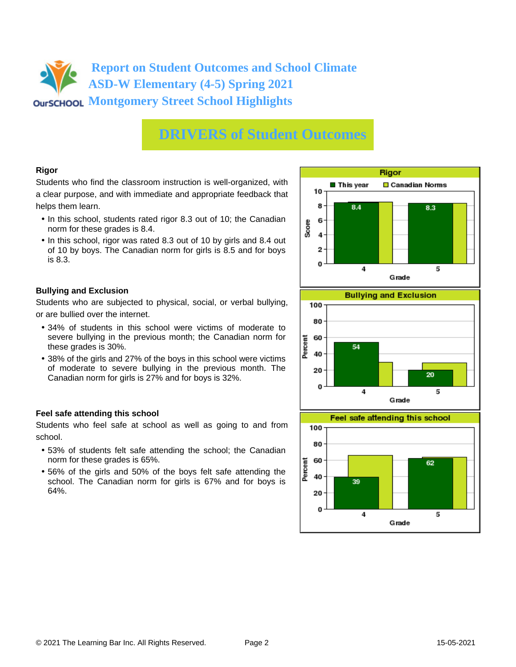# **DRIVERS of Student Outcomes**

### **Rigor**

Students who find the classroom instruction is well-organized, with a clear purpose, and with immediate and appropriate feedback that helps them learn.

- In this school, students rated rigor 8.3 out of 10; the Canadian norm for these grades is 8.4.
- In this school, rigor was rated 8.3 out of 10 by girls and 8.4 out of 10 by boys. The Canadian norm for girls is 8.5 and for boys is 8.3.

### **Bullying and Exclusion**

Students who are subjected to physical, social, or verbal bullying, or are bullied over the internet.

- 34% of students in this school were victims of moderate to severe bullying in the previous month; the Canadian norm for these grades is 30%.
- 38% of the girls and 27% of the boys in this school were victims of moderate to severe bullying in the previous month. The Canadian norm for girls is 27% and for boys is 32%.

### **Feel safe attending this school**

Students who feel safe at school as well as going to and from school.

- 53% of students felt safe attending the school; the Canadian norm for these grades is 65%.
- 56% of the girls and 50% of the boys felt safe attending the school. The Canadian norm for girls is 67% and for boys is 64%.





 $\overline{4}$ 

5

0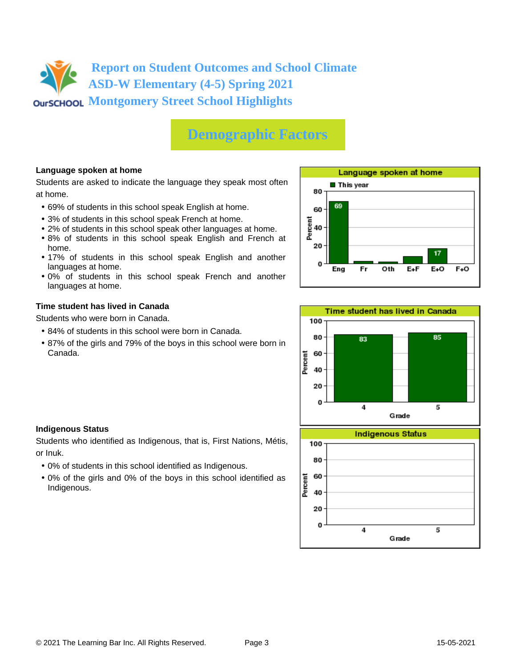# **Demographic Factors**

### **Language spoken at home**

Students are asked to indicate the language they speak most often at home.

- 69% of students in this school speak English at home.
- 3% of students in this school speak French at home.
- 2% of students in this school speak other languages at home.
- 8% of students in this school speak English and French at home.
- 17% of students in this school speak English and another languages at home.
- 0% of students in this school speak French and another languages at home.

#### **Time student has lived in Canada**

Students who were born in Canada.

- 84% of students in this school were born in Canada.
- 87% of the girls and 79% of the boys in this school were born in Canada.





### **Indigenous Status**

Students who identified as Indigenous, that is, First Nations, Métis, or Inuk.

- 0% of students in this school identified as Indigenous.
- 0% of the girls and 0% of the boys in this school identified as Indigenous.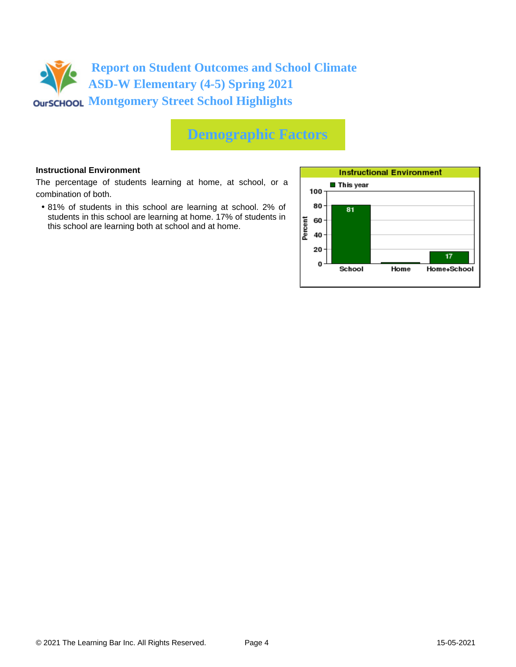## **Demographic Factors**

#### **Instructional Environment**

The percentage of students learning at home, at school, or a combination of both.

• 81% of students in this school are learning at school. 2% of students in this school are learning at home. 17% of students in this school are learning both at school and at home.

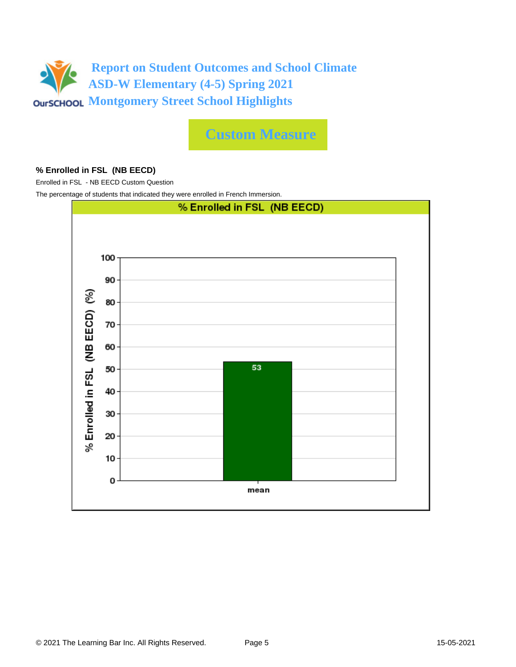

**Custom Measure**

#### **% Enrolled in FSL (NB EECD)**

Enrolled in FSL - NB EECD Custom Question

The percentage of students that indicated they were enrolled in French Immersion.

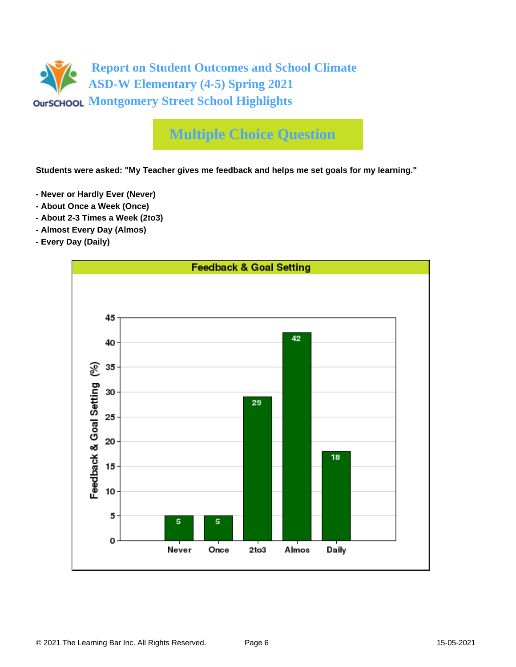

**Students were asked: "My Teacher gives me feedback and helps me set goals for my learning."**

- **Never or Hardly Ever (Never)**
- **About Once a Week (Once)**
- **About 2-3 Times a Week (2to3)**
- **Almost Every Day (Almos)**
- **Every Day (Daily)**

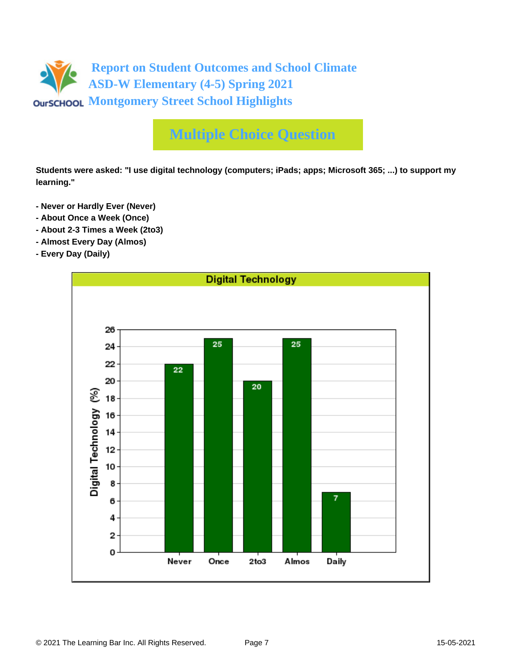

**Students were asked: "I use digital technology (computers; iPads; apps; Microsoft 365; ...) to support my learning."**

- **Never or Hardly Ever (Never)**
- **About Once a Week (Once)**
- **About 2-3 Times a Week (2to3)**
- **Almost Every Day (Almos)**
- **Every Day (Daily)**

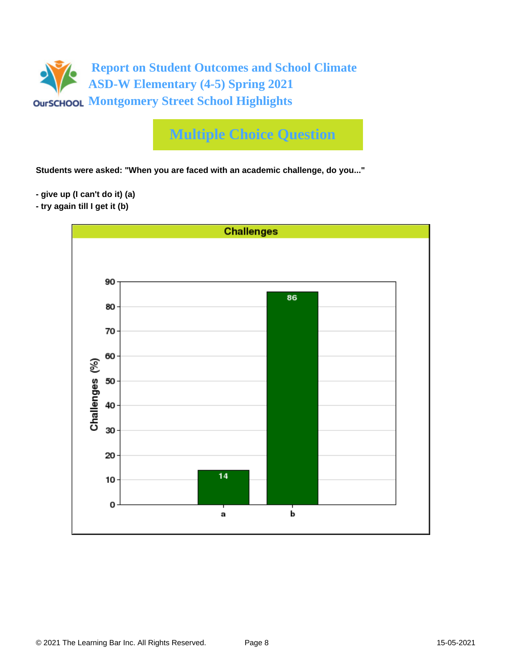

**Students were asked: "When you are faced with an academic challenge, do you..."**

- **give up (I can't do it) (a)**
- **try again till I get it (b)**